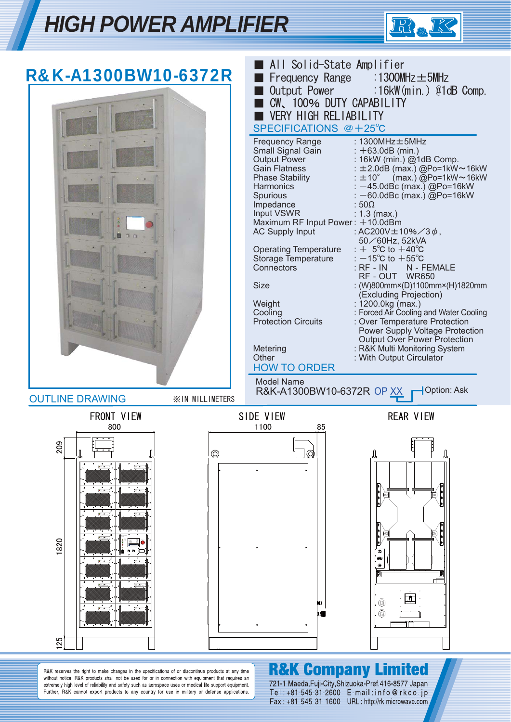



R&K reserves the right to make changes in the specifications of or discontinue products at any time without notice. R&K products shall not be used for or in connection with equipment that requires an extremely high level of reliability and safety such as aerospace uses or medical life support equipment. Further, R&K cannot export products to any country for use in military or defense applications.

# **R&K Company Limited**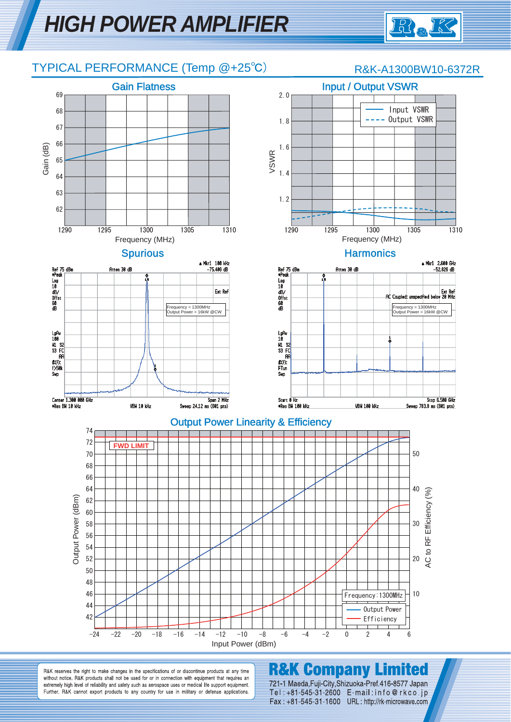

## TYPICAL PERFORMANCE (Temp @+25℃) R&K-A1300BW10-6372R



R&K reserves the right to make changes in the specifications of or discontinue products at any time without notice. R&K products shall not be used for or in connection with equipment that requires an extremely high level of reliability and safety such as aerospace uses or medical life support equipment. Further, R&K cannot export products to any country for use in military or defense applications.

# **R&K Company Limited**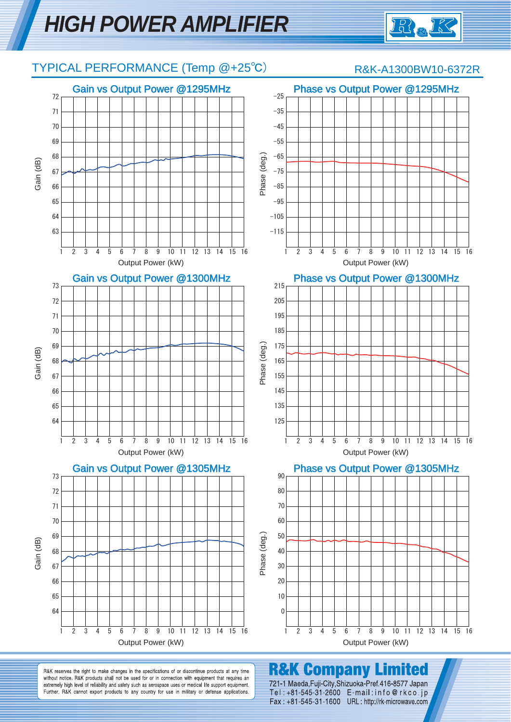

# TYPICAL PERFORMANCE (Temp @+25℃) R&K-A1300BW10-6372R





1 2 3 4 5 6 7 8 9 10 11 12 13 14 15 16 Output Power (kW)



mited

**R&K Company** R&K reserves the right to make changes in the specifications of or discontinue products at any time without notice. R&K products shall not be used for or in connection with equipment that requires an 721-1 Maeda, Fuji-City, Shizuoka-Pref. 416-8577 Japan

extremely high level of reliability and safety such as aerospace uses or medical life support equipment. Further, R&K cannot export products to any country for use in military or defense applications. Tel: +81-545-31-2600 E-mail: info@rkco.jp Fax: +81-545-31-1600 URL: http://rk-microwave.com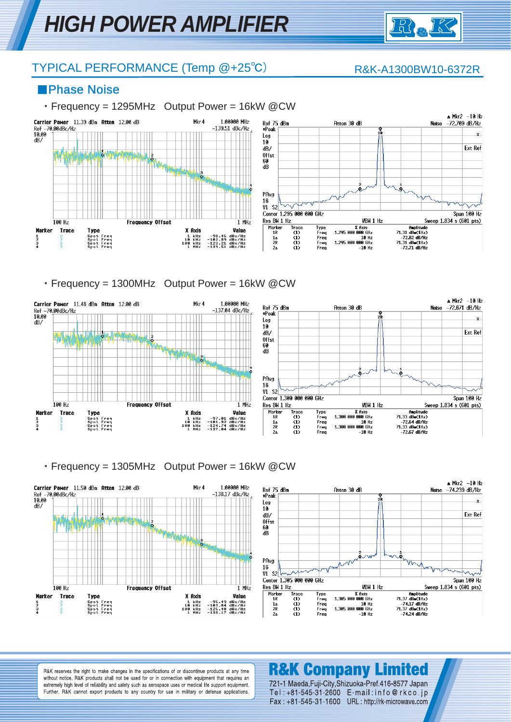

## TYPICAL PERFORMANCE (Temp @+25°C) R&K-A1300BW10-6372R

### ■Phase Noise

### ・Frequency = 1295MHz Output Power = 16kW @CW



・Frequency = 1300MHz Output Power = 16kW @CW



### ・Frequency = 1305MHz Output Power = 16kW @CW



R&K reserves the right to make changes in the specifications of or discontinue products at any time without notice. R&K products shall not be used for or in connection with equipment that requires an extremely high level of reliability and safety such as aerospace uses or medical life support equipment. Further, R&K cannot export products to any country for use in military or defense applications.

# **R&K Company Limited**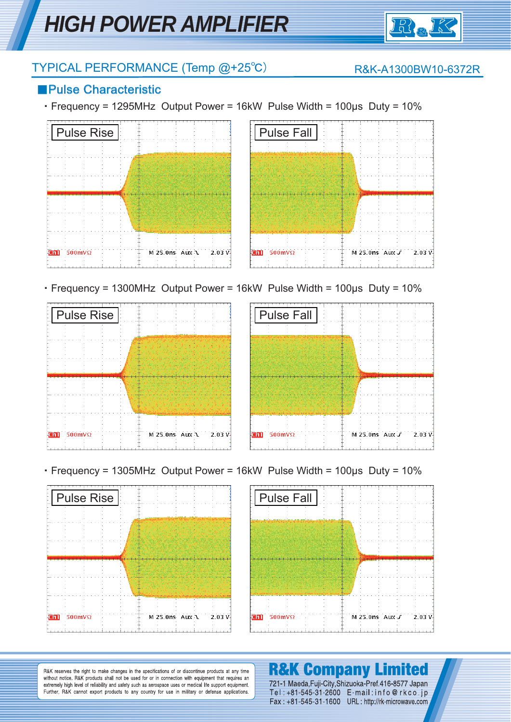

# TYPICAL PERFORMANCE (Temp @+25℃) R&K-A1300BW10-6372R

## ■Pulse Characteristic

・Frequency = 1295MHz Output Power = 16kW Pulse Width = 100μs Duty = 10%





・Frequency = 1300MHz Output Power = 16kW Pulse Width = 100μs Duty = 10%





・Frequency = 1305MHz Output Power = 16kW Pulse Width = 100μs Duty = 10%





R&K reserves the right to make changes in the specifications of or discontinue products at any time without notice. R&K products shall not be used for or in connection with equipment that requires an extremely high level of reliability and safety such as aerospace uses or medical life support equipment. Further, R&K cannot export products to any country for use in military or defense applications.

### **R&K Company Limited** 721-1 Maeda, Fuji-City, Shizuoka-Pref. 416-8577 Japan Tel: +81-545-31-2600 E-mail: info@rkco.jp

Fax: +81-545-31-1600 URL: http://rk-microwave.com